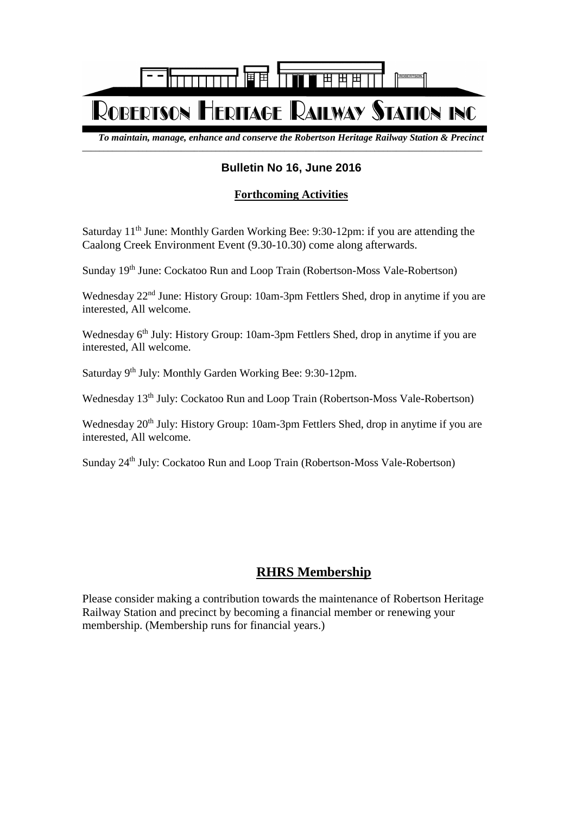

\_\_\_\_\_\_\_\_\_\_\_\_\_\_\_\_\_\_\_\_\_\_\_\_\_\_\_\_\_\_\_\_\_\_\_\_\_\_\_\_\_\_\_\_\_\_\_\_\_\_\_\_\_\_\_\_\_\_\_\_\_\_\_\_\_\_\_\_\_\_\_\_\_\_\_\_\_\_\_\_\_\_\_\_\_\_\_\_\_\_\_\_\_

*To maintain, manage, enhance and conserve the Robertson Heritage Railway Station & Precinct*

## **Bulletin No 16, June 2016**

## **Forthcoming Activities**

Saturday 11<sup>th</sup> June: Monthly Garden Working Bee: 9:30-12pm: if you are attending the Caalong Creek Environment Event (9.30-10.30) come along afterwards.

Sunday 19<sup>th</sup> June: Cockatoo Run and Loop Train (Robertson-Moss Vale-Robertson)

Wednesday 22<sup>nd</sup> June: History Group: 10am-3pm Fettlers Shed, drop in anytime if you are interested, All welcome.

Wednesday 6<sup>th</sup> July: History Group: 10am-3pm Fettlers Shed, drop in anytime if you are interested, All welcome.

Saturday 9<sup>th</sup> July: Monthly Garden Working Bee: 9:30-12pm.

Wednesday 13<sup>th</sup> July: Cockatoo Run and Loop Train (Robertson-Moss Vale-Robertson)

Wednesday 20<sup>th</sup> July: History Group: 10am-3pm Fettlers Shed, drop in anytime if you are interested, All welcome.

Sunday 24<sup>th</sup> July: Cockatoo Run and Loop Train (Robertson-Moss Vale-Robertson)

## **RHRS Membership**

Please consider making a contribution towards the maintenance of Robertson Heritage Railway Station and precinct by becoming a financial member or renewing your membership. (Membership runs for financial years.)